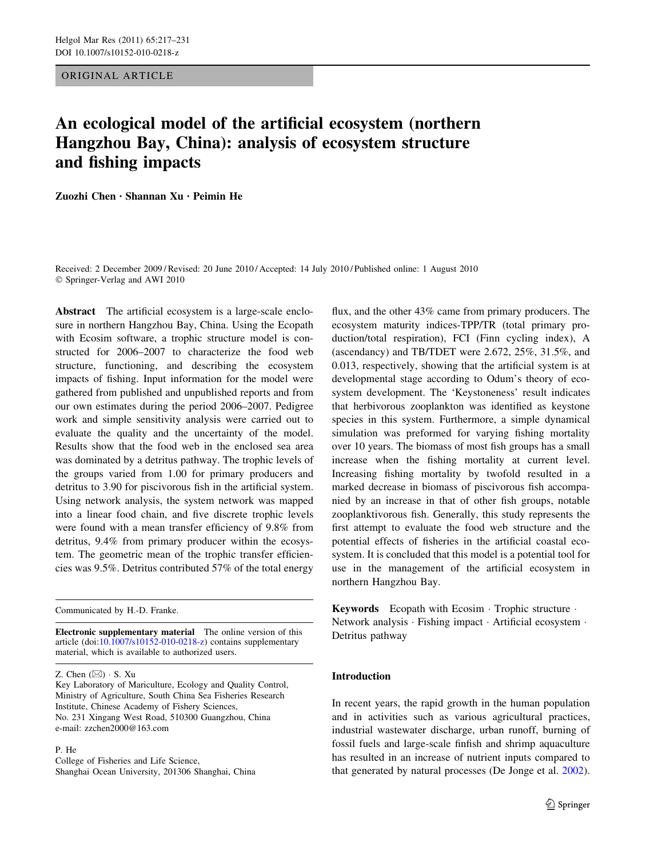ORIGINAL ARTICLE

# An ecological model of the artificial ecosystem (northern Hangzhou Bay, China): analysis of ecosystem structure and fishing impacts

Zuozhi Chen • Shannan Xu • Peimin He

Received: 2 December 2009 / Revised: 20 June 2010 / Accepted: 14 July 2010 / Published online: 1 August 2010 © Springer-Verlag and AWI 2010

Abstract The artificial ecosystem is a large-scale enclosure in northern Hangzhou Bay, China. Using the Ecopath with Ecosim software, a trophic structure model is constructed for 2006–2007 to characterize the food web structure, functioning, and describing the ecosystem impacts of fishing. Input information for the model were gathered from published and unpublished reports and from our own estimates during the period 2006–2007. Pedigree work and simple sensitivity analysis were carried out to evaluate the quality and the uncertainty of the model. Results show that the food web in the enclosed sea area was dominated by a detritus pathway. The trophic levels of the groups varied from 1.00 for primary producers and detritus to 3.90 for piscivorous fish in the artificial system. Using network analysis, the system network was mapped into a linear food chain, and five discrete trophic levels were found with a mean transfer efficiency of 9.8% from detritus, 9.4% from primary producer within the ecosystem. The geometric mean of the trophic transfer efficiencies was 9.5%. Detritus contributed 57% of the total energy

Communicated by H.-D. Franke.

Electronic supplementary material The online version of this article (doi:[10.1007/s10152-010-0218-z](http://dx.doi.org/10.1007/s10152-010-0218-z)) contains supplementary material, which is available to authorized users.

Z. Chen  $(\boxtimes) \cdot S$ . Xu

Key Laboratory of Mariculture, Ecology and Quality Control, Ministry of Agriculture, South China Sea Fisheries Research Institute, Chinese Academy of Fishery Sciences, No. 231 Xingang West Road, 510300 Guangzhou, China e-mail: zzchen2000@163.com

P. He

College of Fisheries and Life Science, Shanghai Ocean University, 201306 Shanghai, China

flux, and the other 43% came from primary producers. The ecosystem maturity indices-TPP/TR (total primary production/total respiration), FCI (Finn cycling index), A (ascendancy) and TB/TDET were 2.672, 25%, 31.5%, and 0.013, respectively, showing that the artificial system is at developmental stage according to Odum's theory of ecosystem development. The 'Keystoneness' result indicates that herbivorous zooplankton was identified as keystone species in this system. Furthermore, a simple dynamical simulation was preformed for varying fishing mortality over 10 years. The biomass of most fish groups has a small increase when the fishing mortality at current level. Increasing fishing mortality by twofold resulted in a marked decrease in biomass of piscivorous fish accompanied by an increase in that of other fish groups, notable zooplanktivorous fish. Generally, this study represents the first attempt to evaluate the food web structure and the potential effects of fisheries in the artificial coastal ecosystem. It is concluded that this model is a potential tool for use in the management of the artificial ecosystem in northern Hangzhou Bay.

Keywords Ecopath with Ecosim · Trophic structure · Network analysis · Fishing impact · Artificial ecosystem · Detritus pathway

## Introduction

In recent years, the rapid growth in the human population and in activities such as various agricultural practices, industrial wastewater discharge, urban runoff, burning of fossil fuels and large-scale finfish and shrimp aquaculture has resulted in an increase of nutrient inputs compared to that generated by natural processes (De Jonge et al. [2002](#page-13-0)).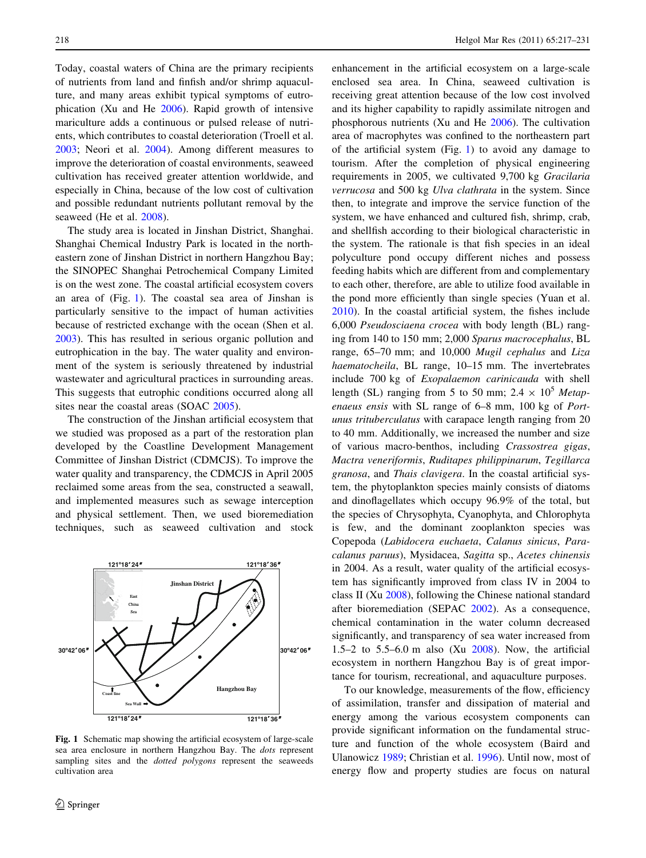<span id="page-1-0"></span>Today, coastal waters of China are the primary recipients of nutrients from land and finfish and/or shrimp aquaculture, and many areas exhibit typical symptoms of eutrophication (Xu and He [2006](#page-14-0)). Rapid growth of intensive mariculture adds a continuous or pulsed release of nutrients, which contributes to coastal deterioration (Troell et al. [2003;](#page-14-0) Neori et al. [2004\)](#page-13-0). Among different measures to improve the deterioration of coastal environments, seaweed cultivation has received greater attention worldwide, and especially in China, because of the low cost of cultivation and possible redundant nutrients pollutant removal by the seaweed (He et al. [2008](#page-13-0)).

The study area is located in Jinshan District, Shanghai. Shanghai Chemical Industry Park is located in the northeastern zone of Jinshan District in northern Hangzhou Bay; the SINOPEC Shanghai Petrochemical Company Limited is on the west zone. The coastal artificial ecosystem covers an area of (Fig. 1). The coastal sea area of Jinshan is particularly sensitive to the impact of human activities because of restricted exchange with the ocean (Shen et al. [2003\)](#page-13-0). This has resulted in serious organic pollution and eutrophication in the bay. The water quality and environment of the system is seriously threatened by industrial wastewater and agricultural practices in surrounding areas. This suggests that eutrophic conditions occurred along all sites near the coastal areas (SOAC [2005\)](#page-14-0).

The construction of the Jinshan artificial ecosystem that we studied was proposed as a part of the restoration plan developed by the Coastline Development Management Committee of Jinshan District (CDMCJS). To improve the water quality and transparency, the CDMCJS in April 2005 reclaimed some areas from the sea, constructed a seawall, and implemented measures such as sewage interception and physical settlement. Then, we used bioremediation techniques, such as seaweed cultivation and stock



Fig. 1 Schematic map showing the artificial ecosystem of large-scale sea area enclosure in northern Hangzhou Bay. The dots represent sampling sites and the *dotted polygons* represent the seaweeds cultivation area

enhancement in the artificial ecosystem on a large-scale enclosed sea area. In China, seaweed cultivation is receiving great attention because of the low cost involved and its higher capability to rapidly assimilate nitrogen and phosphorous nutrients (Xu and He [2006](#page-14-0)). The cultivation area of macrophytes was confined to the northeastern part of the artificial system (Fig. 1) to avoid any damage to tourism. After the completion of physical engineering requirements in 2005, we cultivated 9,700 kg Gracilaria verrucosa and 500 kg Ulva clathrata in the system. Since then, to integrate and improve the service function of the system, we have enhanced and cultured fish, shrimp, crab, and shellfish according to their biological characteristic in the system. The rationale is that fish species in an ideal polyculture pond occupy different niches and possess feeding habits which are different from and complementary to each other, therefore, are able to utilize food available in the pond more efficiently than single species (Yuan et al. [2010](#page-14-0)). In the coastal artificial system, the fishes include 6,000 Pseudosciaena crocea with body length (BL) ranging from 140 to 150 mm; 2,000 Sparus macrocephalus, BL range, 65–70 mm; and 10,000 Mugil cephalus and Liza haematocheila, BL range, 10–15 mm. The invertebrates include 700 kg of Exopalaemon carinicauda with shell length (SL) ranging from 5 to 50 mm;  $2.4 \times 10^5$  Metapenaeus ensis with SL range of 6–8 mm, 100 kg of Portunus trituberculatus with carapace length ranging from 20 to 40 mm. Additionally, we increased the number and size of various macro-benthos, including Crassostrea gigas, Mactra veneriformis, Ruditapes philippinarum, Tegillarca granosa, and Thais clavigera. In the coastal artificial system, the phytoplankton species mainly consists of diatoms and dinoflagellates which occupy 96.9% of the total, but the species of Chrysophyta, Cyanophyta, and Chlorophyta is few, and the dominant zooplankton species was Copepoda (Labidocera euchaeta, Calanus sinicus, Paracalanus paruus), Mysidacea, Sagitta sp., Acetes chinensis in 2004. As a result, water quality of the artificial ecosystem has significantly improved from class IV in 2004 to class II (Xu [2008\)](#page-14-0), following the Chinese national standard after bioremediation (SEPAC [2002](#page-13-0)). As a consequence, chemical contamination in the water column decreased significantly, and transparency of sea water increased from 1.5–2 to 5.5–6.0 m also (Xu [2008](#page-14-0)). Now, the artificial ecosystem in northern Hangzhou Bay is of great importance for tourism, recreational, and aquaculture purposes.

To our knowledge, measurements of the flow, efficiency of assimilation, transfer and dissipation of material and energy among the various ecosystem components can provide significant information on the fundamental structure and function of the whole ecosystem (Baird and Ulanowicz [1989](#page-13-0); Christian et al. [1996\)](#page-13-0). Until now, most of energy flow and property studies are focus on natural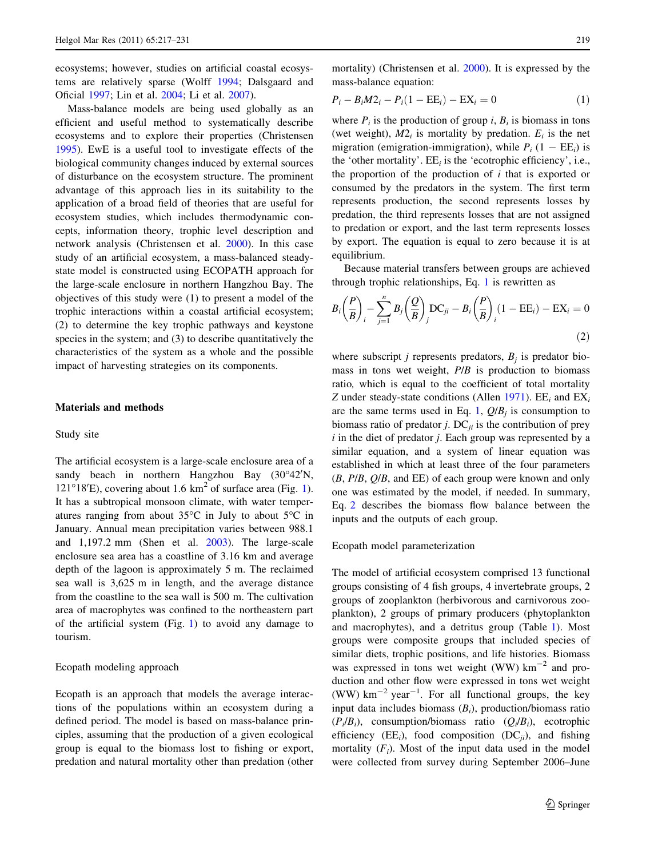ecosystems; however, studies on artificial coastal ecosystems are relatively sparse (Wolff [1994](#page-14-0); Dalsgaard and Oficial [1997;](#page-13-0) Lin et al. [2004;](#page-13-0) Li et al. [2007\)](#page-13-0).

Mass-balance models are being used globally as an efficient and useful method to systematically describe ecosystems and to explore their properties (Christensen [1995\)](#page-13-0). EwE is a useful tool to investigate effects of the biological community changes induced by external sources of disturbance on the ecosystem structure. The prominent advantage of this approach lies in its suitability to the application of a broad field of theories that are useful for ecosystem studies, which includes thermodynamic concepts, information theory, trophic level description and network analysis (Christensen et al. [2000](#page-13-0)). In this case study of an artificial ecosystem, a mass-balanced steadystate model is constructed using ECOPATH approach for the large-scale enclosure in northern Hangzhou Bay. The objectives of this study were (1) to present a model of the trophic interactions within a coastal artificial ecosystem; (2) to determine the key trophic pathways and keystone species in the system; and (3) to describe quantitatively the characteristics of the system as a whole and the possible impact of harvesting strategies on its components.

#### Materials and methods

#### Study site

The artificial ecosystem is a large-scale enclosure area of a sandy beach in northern Hangzhou Bay  $(30^{\circ}42^{\prime}N,$  $121^{\circ}18'E$  $121^{\circ}18'E$ ), covering about 1.6 km<sup>2</sup> of surface area (Fig. 1). It has a subtropical monsoon climate, with water temperatures ranging from about  $35^{\circ}$ C in July to about  $5^{\circ}$ C in January. Annual mean precipitation varies between 988.1 and 1,197.2 mm (Shen et al. [2003](#page-13-0)). The large-scale enclosure sea area has a coastline of 3.16 km and average depth of the lagoon is approximately 5 m. The reclaimed sea wall is 3,625 m in length, and the average distance from the coastline to the sea wall is 500 m. The cultivation area of macrophytes was confined to the northeastern part of the artificial system (Fig. [1\)](#page-1-0) to avoid any damage to tourism.

# Ecopath modeling approach

Ecopath is an approach that models the average interactions of the populations within an ecosystem during a defined period. The model is based on mass-balance principles, assuming that the production of a given ecological group is equal to the biomass lost to fishing or export, predation and natural mortality other than predation (other mortality) (Christensen et al. [2000](#page-13-0)). It is expressed by the mass-balance equation:

$$
P_i - B_i M 2_i - P_i (1 - EE_i) - EX_i = 0 \tag{1}
$$

where  $P_i$  is the production of group i,  $B_i$  is biomass in tons (wet weight),  $M2_i$  is mortality by predation.  $E_i$  is the net migration (emigration-immigration), while  $P_i$  (1 – EE<sub>i</sub>) is the 'other mortality'.  $EE_i$  is the 'ecotrophic efficiency', i.e., the proportion of the production of  $i$  that is exported or consumed by the predators in the system. The first term represents production, the second represents losses by predation, the third represents losses that are not assigned to predation or export, and the last term represents losses by export. The equation is equal to zero because it is at equilibrium.

Because material transfers between groups are achieved through trophic relationships, Eq. 1 is rewritten as

$$
B_i\left(\frac{P}{B}\right)_i - \sum_{j=1}^n B_j\left(\frac{Q}{B}\right)_j \text{DC}_{ji} - B_i\left(\frac{P}{B}\right)_i (1 - \text{EE}_i) - \text{EX}_i = 0
$$
\n(2)

where subscript *j* represents predators,  $B_i$  is predator biomass in tons wet weight,  $P/B$  is production to biomass ratio, which is equal to the coefficient of total mortality Z under steady-state conditions (Allen [1971\)](#page-13-0).  $EE_i$  and  $EX_i$ are the same terms used in Eq. 1,  $Q/B_i$  is consumption to biomass ratio of predator *j*. DC $_{ji}$  is the contribution of prey  $i$  in the diet of predator  $j$ . Each group was represented by a similar equation, and a system of linear equation was established in which at least three of the four parameters  $(B, P/B, Q/B,$  and EE) of each group were known and only one was estimated by the model, if needed. In summary, Eq. 2 describes the biomass flow balance between the inputs and the outputs of each group.

#### Ecopath model parameterization

The model of artificial ecosystem comprised 13 functional groups consisting of 4 fish groups, 4 invertebrate groups, 2 groups of zooplankton (herbivorous and carnivorous zooplankton), 2 groups of primary producers (phytoplankton and macrophytes), and a detritus group (Table [1](#page-3-0)). Most groups were composite groups that included species of similar diets, trophic positions, and life histories. Biomass was expressed in tons wet weight (WW)  $km^{-2}$  and production and other flow were expressed in tons wet weight (WW)  $km^{-2}$  year<sup>-1</sup>. For all functional groups, the key input data includes biomass  $(B_i)$ , production/biomass ratio  $(P_i/B_i)$ , consumption/biomass ratio  $(Q_i/B_i)$ , ecotrophic efficiency (EE<sub>i</sub>), food composition (DC<sub>ii</sub>), and fishing mortality  $(F_i)$ . Most of the input data used in the model were collected from survey during September 2006–June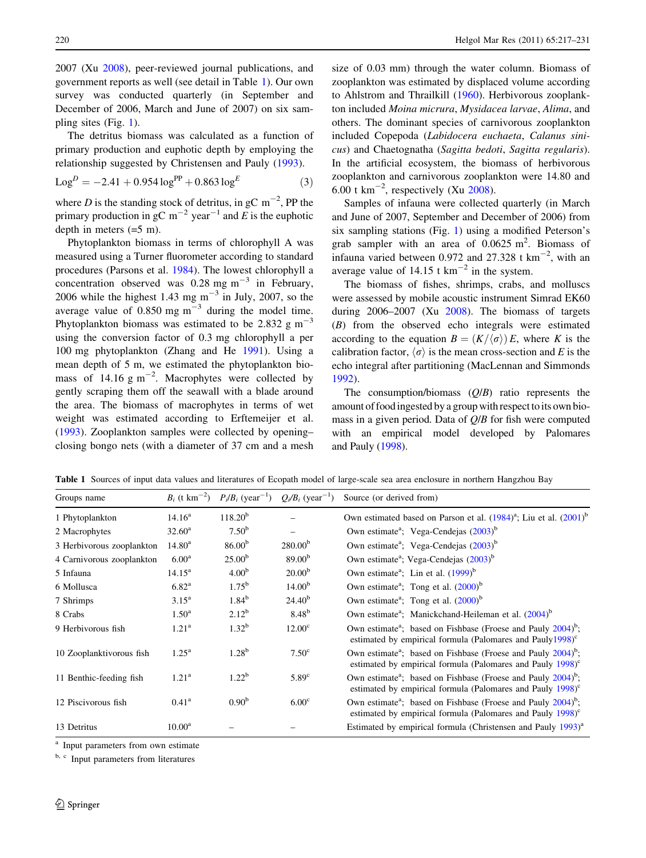<span id="page-3-0"></span>2007 (Xu [2008\)](#page-14-0), peer-reviewed journal publications, and government reports as well (see detail in Table 1). Our own survey was conducted quarterly (in September and December of 2006, March and June of 2007) on six sampling sites (Fig. [1](#page-1-0)).

The detritus biomass was calculated as a function of primary production and euphotic depth by employing the relationship suggested by Christensen and Pauly [\(1993](#page-13-0)).

$$
LogD = -2.41 + 0.954 logPP + 0.863 logE
$$
 (3)

where D is the standing stock of detritus, in gC  $\text{m}^{-2}$ , PP the primary production in gC  $m^{-2}$  year<sup>-1</sup> and E is the euphotic depth in meters  $(=5 \text{ m})$ .

Phytoplankton biomass in terms of chlorophyll A was measured using a Turner fluorometer according to standard procedures (Parsons et al. [1984\)](#page-13-0). The lowest chlorophyll a concentration observed was  $0.28 \text{ mg m}^{-3}$  in February, 2006 while the highest 1.43 mg  $m^{-3}$  in July, 2007, so the average value of  $0.850$  mg m<sup>-3</sup> during the model time. Phytoplankton biomass was estimated to be 2.832 g  $m^{-3}$ using the conversion factor of 0.3 mg chlorophyll a per 100 mg phytoplankton (Zhang and He [1991\)](#page-14-0). Using a mean depth of 5 m, we estimated the phytoplankton biomass of 14.16  $g \text{ m}^{-2}$ . Macrophytes were collected by gently scraping them off the seawall with a blade around the area. The biomass of macrophytes in terms of wet weight was estimated according to Erftemeijer et al. [\(1993](#page-13-0)). Zooplankton samples were collected by opening– closing bongo nets (with a diameter of 37 cm and a mesh size of 0.03 mm) through the water column. Biomass of zooplankton was estimated by displaced volume according to Ahlstrom and Thrailkill ([1960](#page-13-0)). Herbivorous zooplankton included Moina micrura, Mysidacea larvae, Alima, and others. The dominant species of carnivorous zooplankton included Copepoda (Labidocera euchaeta, Calanus sinicus) and Chaetognatha (Sagitta bedoti, Sagitta regularis). In the artificial ecosystem, the biomass of herbivorous zooplankton and carnivorous zooplankton were 14.80 and 6.00 t  $\text{km}^{-2}$ , respectively (Xu [2008\)](#page-14-0).

Samples of infauna were collected quarterly (in March and June of 2007, September and December of 2006) from six sampling stations (Fig. [1](#page-1-0)) using a modified Peterson's grab sampler with an area of  $0.0625 \text{ m}^2$ . Biomass of infauna varied between 0.972 and 27.328 t  $\text{km}^{-2}$ , with an average value of 14.15 t  $km^{-2}$  in the system.

The biomass of fishes, shrimps, crabs, and molluscs were assessed by mobile acoustic instrument Simrad EK60 during  $2006-2007$  (Xu  $2008$ ). The biomass of targets (B) from the observed echo integrals were estimated according to the equation  $B = (K/\langle \sigma \rangle) E$ , where K is the calibration factor,  $\langle \sigma \rangle$  is the mean cross-section and E is the echo integral after partitioning (MacLennan and Simmonds [1992](#page-13-0)).

The consumption/biomass  $(Q/B)$  ratio represents the amount of food ingested by a group with respect to its own biomass in a given period. Data of  $Q/B$  for fish were computed with an empirical model developed by Palomares and Pauly ([1998](#page-13-0)).

Table 1 Sources of input data values and literatures of Ecopath model of large-scale sea area enclosure in northern Hangzhou Bay

| Groups name               | $B_i$ (t km <sup>-2</sup> ) |                    | $P_i/B_i$ (year <sup>-1</sup> ) $Q_i/B_i$ (year <sup>-1</sup> ) | Source (or derived from)                                                                                                                                          |
|---------------------------|-----------------------------|--------------------|-----------------------------------------------------------------|-------------------------------------------------------------------------------------------------------------------------------------------------------------------|
| 1 Phytoplankton           | $14.16^a$                   | $118.20^{b}$       |                                                                 | Own estimated based on Parson et al. $(1984)^{a}$ ; Liu et al. $(2001)^{b}$                                                                                       |
| 2 Macrophytes             | $32.60^{\rm a}$             | $7.50^{b}$         |                                                                 | Own estimate <sup>a</sup> ; Vega-Cendejas (2003) <sup>b</sup>                                                                                                     |
| 3 Herbivorous zooplankton | $14.80^{\rm a}$             | $86.00^{b}$        | $280.00^{b}$                                                    | Own estimate <sup>a</sup> ; Vega-Cendejas (2003) <sup>b</sup>                                                                                                     |
| 4 Carnivorous zooplankton | $6.00^{\rm a}$              | 25.00 <sup>b</sup> | 89.00 <sup>b</sup>                                              | Own estimate <sup>a</sup> ; Vega-Cendejas (2003) <sup>b</sup>                                                                                                     |
| 5 Infauna                 | $14.15^{\rm a}$             | 4.00 <sup>b</sup>  | 20.00 <sup>b</sup>                                              | Own estimate <sup>a</sup> : Lin et al. $(1999)^b$                                                                                                                 |
| 6 Mollusca                | 6.82 <sup>a</sup>           | $1.75^{\rm b}$     | 14.00 <sup>b</sup>                                              | Own estimate <sup>a</sup> ; Tong et al. $(2000)^b$                                                                                                                |
| 7 Shrimps                 | $3.15^{\rm a}$              | $1.84^{b}$         | $24.40^{b}$                                                     | Own estimate <sup>a</sup> ; Tong et al. $(2000)^b$                                                                                                                |
| 8 Crabs                   | $1.50^{\rm a}$              | $2.12^{b}$         | $8.48^{b}$                                                      | Own estimate <sup>a</sup> ; Manickchand-Heileman et al. (2004) <sup>b</sup>                                                                                       |
| 9 Herbivorous fish        | 1.21 <sup>a</sup>           | 1.32 <sup>b</sup>  | 12.00 <sup>c</sup>                                              | Own estimate <sup>a</sup> ; based on Fishbase (Froese and Pauly 2004) <sup>b</sup> ;<br>estimated by empirical formula (Palomares and Pauly1998) <sup>c</sup>     |
| 10 Zooplanktivorous fish  | $1.25^{\rm a}$              | $1.28^{b}$         | 7.50 <sup>c</sup>                                               | Own estimate <sup>a</sup> ; based on Fishbase (Froese and Pauly 2004) <sup>b</sup> ;<br>estimated by empirical formula (Palomares and Pauly $1998$ ) <sup>c</sup> |
| 11 Benthic-feeding fish   | 1.21 <sup>a</sup>           | $1.22^b$           | 5.89 <sup>c</sup>                                               | Own estimate <sup>a</sup> ; based on Fishbase (Froese and Pauly 2004) <sup>b</sup> ;<br>estimated by empirical formula (Palomares and Pauly $1998$ ) <sup>c</sup> |
| 12 Piscivorous fish       | $0.41^{\rm a}$              | 0.90 <sup>b</sup>  | 6.00 <sup>c</sup>                                               | Own estimate <sup>a</sup> ; based on Fishbase (Froese and Pauly 2004) <sup>b</sup> ;<br>estimated by empirical formula (Palomares and Pauly 1998) <sup>c</sup>    |
| 13 Detritus               | $10.00^{\rm a}$             |                    |                                                                 | Estimated by empirical formula (Christensen and Pauly 1993) <sup>a</sup>                                                                                          |

<sup>a</sup> Input parameters from own estimate

<sup>b, c</sup> Input parameters from literatures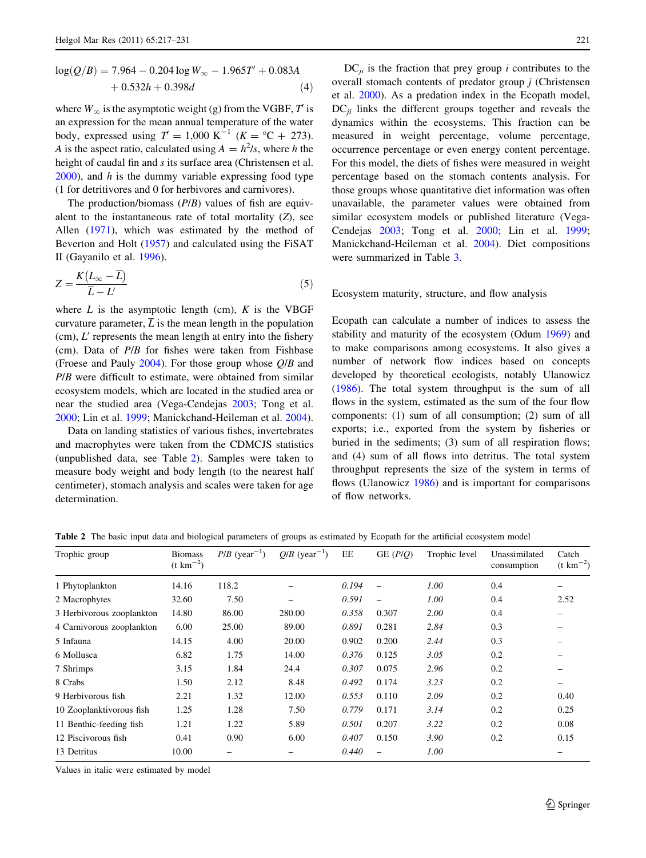<span id="page-4-0"></span>
$$
log(Q/B) = 7.964 - 0.204 log W\infty - 1.965T' + 0.083A + 0.532h + 0.398d
$$
 (4)

where  $W_{\infty}$  is the asymptotic weight (g) from the VGBF, T is an expression for the mean annual temperature of the water body, expressed using  $T = 1,000 \text{ K}^{-1}$  ( $K = {}^{\circ}\text{C} + 273$ ). A is the aspect ratio, calculated using  $A = h^2/s$ , where h the height of caudal fin and s its surface area (Christensen et al.  $2000$ ), and h is the dummy variable expressing food type (1 for detritivores and 0 for herbivores and carnivores).

The production/biomass  $(P/B)$  values of fish are equivalent to the instantaneous rate of total mortality  $(Z)$ , see Allen ([1971\)](#page-13-0), which was estimated by the method of Beverton and Holt [\(1957](#page-13-0)) and calculated using the FiSAT II (Gayanilo et al. [1996](#page-13-0)).

$$
Z = \frac{K(L_{\infty} - \overline{L})}{\overline{L} - L'}\tag{5}
$$

where  $L$  is the asymptotic length (cm),  $K$  is the VBGF curvature parameter,  $\overline{L}$  is the mean length in the population (cm),  $L'$  represents the mean length at entry into the fishery (cm). Data of  $P/B$  for fishes were taken from Fishbase (Froese and Pauly [2004](#page-13-0)). For those group whose Q/B and P/B were difficult to estimate, were obtained from similar ecosystem models, which are located in the studied area or near the studied area (Vega-Cendejas [2003](#page-14-0); Tong et al. [2000;](#page-14-0) Lin et al. [1999;](#page-13-0) Manickchand-Heileman et al. [2004](#page-13-0)).

Data on landing statistics of various fishes, invertebrates and macrophytes were taken from the CDMCJS statistics (unpublished data, see Table 2). Samples were taken to measure body weight and body length (to the nearest half centimeter), stomach analysis and scales were taken for age determination.

 $DC_{ii}$  is the fraction that prey group *i* contributes to the overall stomach contents of predator group  $j$  (Christensen et al. [2000\)](#page-13-0). As a predation index in the Ecopath model,  $DC_{ii}$  links the different groups together and reveals the dynamics within the ecosystems. This fraction can be measured in weight percentage, volume percentage, occurrence percentage or even energy content percentage. For this model, the diets of fishes were measured in weight percentage based on the stomach contents analysis. For those groups whose quantitative diet information was often unavailable, the parameter values were obtained from similar ecosystem models or published literature (Vega-Cendejas [2003;](#page-14-0) Tong et al. [2000](#page-14-0); Lin et al. [1999](#page-13-0); Manickchand-Heileman et al. [2004\)](#page-13-0). Diet compositions were summarized in Table [3](#page-5-0).

# Ecosystem maturity, structure, and flow analysis

Ecopath can calculate a number of indices to assess the stability and maturity of the ecosystem (Odum [1969\)](#page-13-0) and to make comparisons among ecosystems. It also gives a number of network flow indices based on concepts developed by theoretical ecologists, notably Ulanowicz [\(1986](#page-14-0)). The total system throughput is the sum of all flows in the system, estimated as the sum of the four flow components: (1) sum of all consumption; (2) sum of all exports; i.e., exported from the system by fisheries or buried in the sediments; (3) sum of all respiration flows; and (4) sum of all flows into detritus. The total system throughput represents the size of the system in terms of flows (Ulanowicz [1986](#page-14-0)) and is important for comparisons of flow networks.

Table 2 The basic input data and biological parameters of groups as estimated by Ecopath for the artificial ecosystem model

| Trophic group             | <b>Biomass</b><br>$(t \text{ km}^{-2})$ | $P/B$ (year <sup>-1</sup> ) | $Q/B$ (year <sup>-1</sup> ) | EE    | GE $(P/Q)$               | Trophic level | Unassimilated<br>consumption | Catch<br>$(t \text{ km}^{-2})$ |
|---------------------------|-----------------------------------------|-----------------------------|-----------------------------|-------|--------------------------|---------------|------------------------------|--------------------------------|
| 1 Phytoplankton           | 14.16                                   | 118.2                       |                             | 0.194 | $\overline{\phantom{0}}$ | 1.00          | 0.4                          |                                |
| 2 Macrophytes             | 32.60                                   | 7.50                        | $\overline{\phantom{0}}$    | 0.591 | $\overline{\phantom{0}}$ | 1.00          | 0.4                          | 2.52                           |
| 3 Herbivorous zooplankton | 14.80                                   | 86.00                       | 280.00                      | 0.358 | 0.307                    | 2.00          | 0.4                          | -                              |
| 4 Carnivorous zooplankton | 6.00                                    | 25.00                       | 89.00                       | 0.891 | 0.281                    | 2.84          | 0.3                          |                                |
| 5 Infauna                 | 14.15                                   | 4.00                        | 20.00                       | 0.902 | 0.200                    | 2.44          | 0.3                          |                                |
| 6 Mollusca                | 6.82                                    | 1.75                        | 14.00                       | 0.376 | 0.125                    | 3.05          | 0.2                          |                                |
| 7 Shrimps                 | 3.15                                    | 1.84                        | 24.4                        | 0.307 | 0.075                    | 2.96          | 0.2                          |                                |
| 8 Crabs                   | 1.50                                    | 2.12                        | 8.48                        | 0.492 | 0.174                    | 3.23          | 0.2                          |                                |
| 9 Herbivorous fish        | 2.21                                    | 1.32                        | 12.00                       | 0.553 | 0.110                    | 2.09          | 0.2                          | 0.40                           |
| 10 Zooplanktivorous fish  | 1.25                                    | 1.28                        | 7.50                        | 0.779 | 0.171                    | 3.14          | 0.2                          | 0.25                           |
| 11 Benthic-feeding fish   | 1.21                                    | 1.22                        | 5.89                        | 0.501 | 0.207                    | 3.22          | 0.2                          | 0.08                           |
| 12 Piscivorous fish       | 0.41                                    | 0.90                        | 6.00                        | 0.407 | 0.150                    | 3.90          | 0.2                          | 0.15                           |
| 13 Detritus               | 10.00                                   |                             |                             | 0.440 |                          | 1.00          |                              |                                |
|                           |                                         |                             |                             |       |                          |               |                              |                                |

Values in italic were estimated by model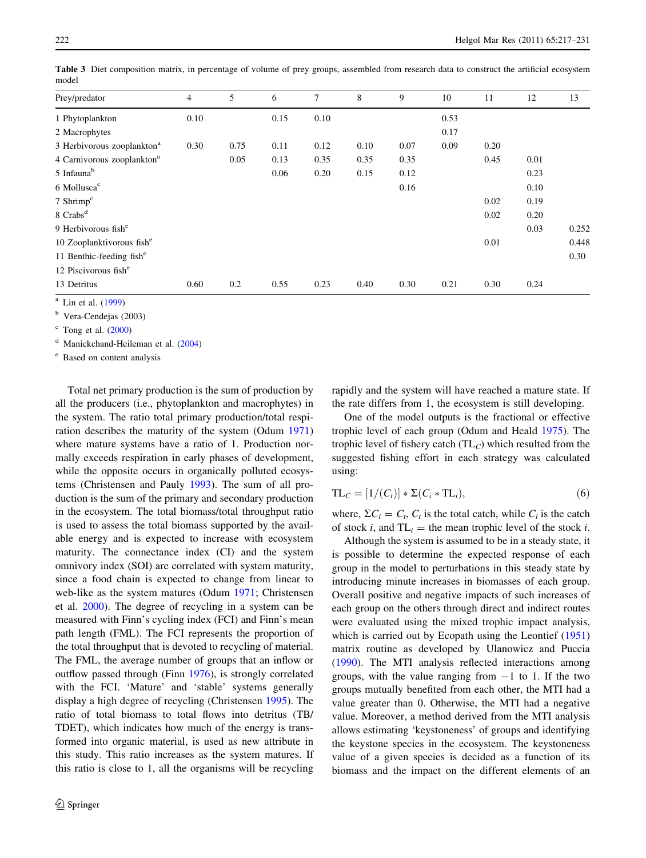| Prey/predator                          | $\overline{4}$ | 5    | 6    | 7    | 8    | 9    | 10   | 11   | 12   | 13    |
|----------------------------------------|----------------|------|------|------|------|------|------|------|------|-------|
| 1 Phytoplankton                        | 0.10           |      | 0.15 | 0.10 |      |      | 0.53 |      |      |       |
| 2 Macrophytes                          |                |      |      |      |      |      | 0.17 |      |      |       |
| 3 Herbivorous zooplankton <sup>a</sup> | 0.30           | 0.75 | 0.11 | 0.12 | 0.10 | 0.07 | 0.09 | 0.20 |      |       |
| 4 Carnivorous zooplankton <sup>a</sup> |                | 0.05 | 0.13 | 0.35 | 0.35 | 0.35 |      | 0.45 | 0.01 |       |
| 5 Infauna <sup>b</sup>                 |                |      | 0.06 | 0.20 | 0.15 | 0.12 |      |      | 0.23 |       |
| 6 Mollusca <sup>c</sup>                |                |      |      |      |      | 0.16 |      |      | 0.10 |       |
| 7 Shrimp $\rm^c$                       |                |      |      |      |      |      |      | 0.02 | 0.19 |       |
| 8 Crabs <sup>d</sup>                   |                |      |      |      |      |      |      | 0.02 | 0.20 |       |
| 9 Herbivorous fish <sup>e</sup>        |                |      |      |      |      |      |      |      | 0.03 | 0.252 |
| 10 Zooplanktivorous fish <sup>e</sup>  |                |      |      |      |      |      |      | 0.01 |      | 0.448 |
| 11 Benthic-feeding fish <sup>e</sup>   |                |      |      |      |      |      |      |      |      | 0.30  |
| 12 Piscivorous fish <sup>e</sup>       |                |      |      |      |      |      |      |      |      |       |
| 13 Detritus                            | 0.60           | 0.2  | 0.55 | 0.23 | 0.40 | 0.30 | 0.21 | 0.30 | 0.24 |       |

<span id="page-5-0"></span>Table 3 Diet composition matrix, in percentage of volume of prey groups, assembled from research data to construct the artificial ecosystem model

<sup>a</sup> Lin et al. ([1999\)](#page-13-0)

<sup>b</sup> Vera-Cendejas (2003)

 $\text{c}$  Tong et al. ([2000\)](#page-14-0)

<sup>d</sup> Manickchand-Heileman et al. [\(2004](#page-13-0))

<sup>e</sup> Based on content analysis

Total net primary production is the sum of production by all the producers (i.e., phytoplankton and macrophytes) in the system. The ratio total primary production/total respiration describes the maturity of the system (Odum [1971\)](#page-13-0) where mature systems have a ratio of 1. Production normally exceeds respiration in early phases of development, while the opposite occurs in organically polluted ecosystems (Christensen and Pauly [1993\)](#page-13-0). The sum of all production is the sum of the primary and secondary production in the ecosystem. The total biomass/total throughput ratio is used to assess the total biomass supported by the available energy and is expected to increase with ecosystem maturity. The connectance index (CI) and the system omnivory index (SOI) are correlated with system maturity, since a food chain is expected to change from linear to web-like as the system matures (Odum [1971;](#page-13-0) Christensen et al. [2000](#page-13-0)). The degree of recycling in a system can be measured with Finn's cycling index (FCI) and Finn's mean path length (FML). The FCI represents the proportion of the total throughput that is devoted to recycling of material. The FML, the average number of groups that an inflow or outflow passed through (Finn [1976\)](#page-13-0), is strongly correlated with the FCI. 'Mature' and 'stable' systems generally display a high degree of recycling (Christensen [1995\)](#page-13-0). The ratio of total biomass to total flows into detritus (TB/ TDET), which indicates how much of the energy is transformed into organic material, is used as new attribute in this study. This ratio increases as the system matures. If this ratio is close to 1, all the organisms will be recycling rapidly and the system will have reached a mature state. If the rate differs from 1, the ecosystem is still developing.

One of the model outputs is the fractional or effective trophic level of each group (Odum and Heald [1975](#page-13-0)). The trophic level of fishery catch  $(TL_C)$  which resulted from the suggested fishing effort in each strategy was calculated using:

$$
TL_C = [1/(C_t)] * \Sigma (C_i * TL_i), \qquad (6)
$$

where,  $\Sigma C_i = C_t$ ,  $C_t$  is the total catch, while  $C_i$  is the catch of stock i, and  $TL_i$  = the mean trophic level of the stock i.

Although the system is assumed to be in a steady state, it is possible to determine the expected response of each group in the model to perturbations in this steady state by introducing minute increases in biomasses of each group. Overall positive and negative impacts of such increases of each group on the others through direct and indirect routes were evaluated using the mixed trophic impact analysis, which is carried out by Ecopath using the Leontief ([1951\)](#page-13-0) matrix routine as developed by Ulanowicz and Puccia [\(1990](#page-14-0)). The MTI analysis reflected interactions among groups, with the value ranging from  $-1$  to 1. If the two groups mutually benefited from each other, the MTI had a value greater than 0. Otherwise, the MTI had a negative value. Moreover, a method derived from the MTI analysis allows estimating 'keystoneness' of groups and identifying the keystone species in the ecosystem. The keystoneness value of a given species is decided as a function of its biomass and the impact on the different elements of an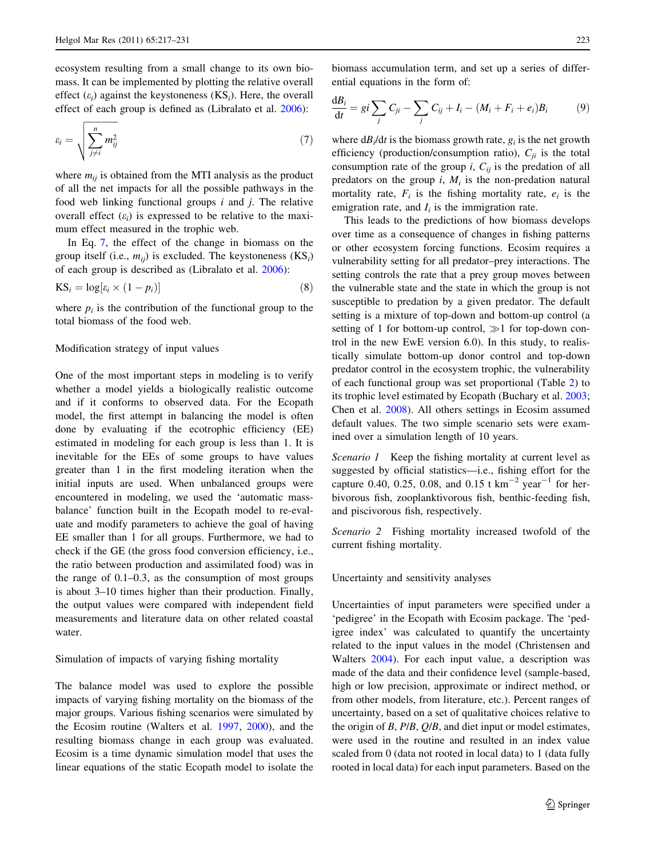ecosystem resulting from a small change to its own biomass. It can be implemented by plotting the relative overall effect  $(\varepsilon_i)$  against the keystoneness  $(KS_i)$ . Here, the overall effect of each group is defined as (Libralato et al. [2006\)](#page-13-0):

$$
\varepsilon_i = \sqrt{\sum_{j \neq i}^n m_{ij}^2} \tag{7}
$$

where  $m_{ij}$  is obtained from the MTI analysis as the product of all the net impacts for all the possible pathways in the food web linking functional groups  $i$  and  $j$ . The relative overall effect  $(\varepsilon_i)$  is expressed to be relative to the maximum effect measured in the trophic web.

In Eq. 7, the effect of the change in biomass on the group itself (i.e.,  $m_{ii}$ ) is excluded. The keystoneness (KS<sub>i</sub>) of each group is described as (Libralato et al. [2006](#page-13-0)):

$$
KS_i = \log[\varepsilon_i \times (1 - p_i)] \tag{8}
$$

where  $p_i$  is the contribution of the functional group to the total biomass of the food web.

# Modification strategy of input values

One of the most important steps in modeling is to verify whether a model yields a biologically realistic outcome and if it conforms to observed data. For the Ecopath model, the first attempt in balancing the model is often done by evaluating if the ecotrophic efficiency (EE) estimated in modeling for each group is less than 1. It is inevitable for the EEs of some groups to have values greater than 1 in the first modeling iteration when the initial inputs are used. When unbalanced groups were encountered in modeling, we used the 'automatic massbalance' function built in the Ecopath model to re-evaluate and modify parameters to achieve the goal of having EE smaller than 1 for all groups. Furthermore, we had to check if the GE (the gross food conversion efficiency, i.e., the ratio between production and assimilated food) was in the range of 0.1–0.3, as the consumption of most groups is about 3–10 times higher than their production. Finally, the output values were compared with independent field measurements and literature data on other related coastal water.

#### Simulation of impacts of varying fishing mortality

The balance model was used to explore the possible impacts of varying fishing mortality on the biomass of the major groups. Various fishing scenarios were simulated by the Ecosim routine (Walters et al. [1997,](#page-14-0) [2000\)](#page-14-0), and the resulting biomass change in each group was evaluated. Ecosim is a time dynamic simulation model that uses the linear equations of the static Ecopath model to isolate the biomass accumulation term, and set up a series of differential equations in the form of:

$$
\frac{\mathrm{d}B_i}{\mathrm{d}t} = gi \sum_j C_{ji} - \sum_j C_{ij} + I_i - (M_i + F_i + e_i)B_i \tag{9}
$$

where  $dB_i/dt$  is the biomass growth rate,  $g_i$  is the net growth efficiency (production/consumption ratio),  $C_{ji}$  is the total consumption rate of the group *i*,  $C_{ii}$  is the predation of all predators on the group  $i$ ,  $M_i$  is the non-predation natural mortality rate,  $F_i$  is the fishing mortality rate,  $e_i$  is the emigration rate, and  $I_i$  is the immigration rate.

This leads to the predictions of how biomass develops over time as a consequence of changes in fishing patterns or other ecosystem forcing functions. Ecosim requires a vulnerability setting for all predator–prey interactions. The setting controls the rate that a prey group moves between the vulnerable state and the state in which the group is not susceptible to predation by a given predator. The default setting is a mixture of top-down and bottom-up control (a setting of 1 for bottom-up control,  $\gg$ 1 for top-down control in the new EwE version 6.0). In this study, to realistically simulate bottom-up donor control and top-down predator control in the ecosystem trophic, the vulnerability of each functional group was set proportional (Table [2\)](#page-4-0) to its trophic level estimated by Ecopath (Buchary et al. [2003](#page-13-0); Chen et al. [2008\)](#page-13-0). All others settings in Ecosim assumed default values. The two simple scenario sets were examined over a simulation length of 10 years.

Scenario 1 Keep the fishing mortality at current level as suggested by official statistics—i.e., fishing effort for the capture 0.40, 0.25, 0.08, and 0.15 t  $\text{km}^{-2} \text{ year}^{-1}$  for herbivorous fish, zooplanktivorous fish, benthic-feeding fish, and piscivorous fish, respectively.

Scenario 2 Fishing mortality increased twofold of the current fishing mortality.

## Uncertainty and sensitivity analyses

Uncertainties of input parameters were specified under a 'pedigree' in the Ecopath with Ecosim package. The 'pedigree index' was calculated to quantify the uncertainty related to the input values in the model (Christensen and Walters [2004](#page-13-0)). For each input value, a description was made of the data and their confidence level (sample-based, high or low precision, approximate or indirect method, or from other models, from literature, etc.). Percent ranges of uncertainty, based on a set of qualitative choices relative to the origin of  $B$ ,  $P/B$ ,  $Q/B$ , and diet input or model estimates, were used in the routine and resulted in an index value scaled from 0 (data not rooted in local data) to 1 (data fully rooted in local data) for each input parameters. Based on the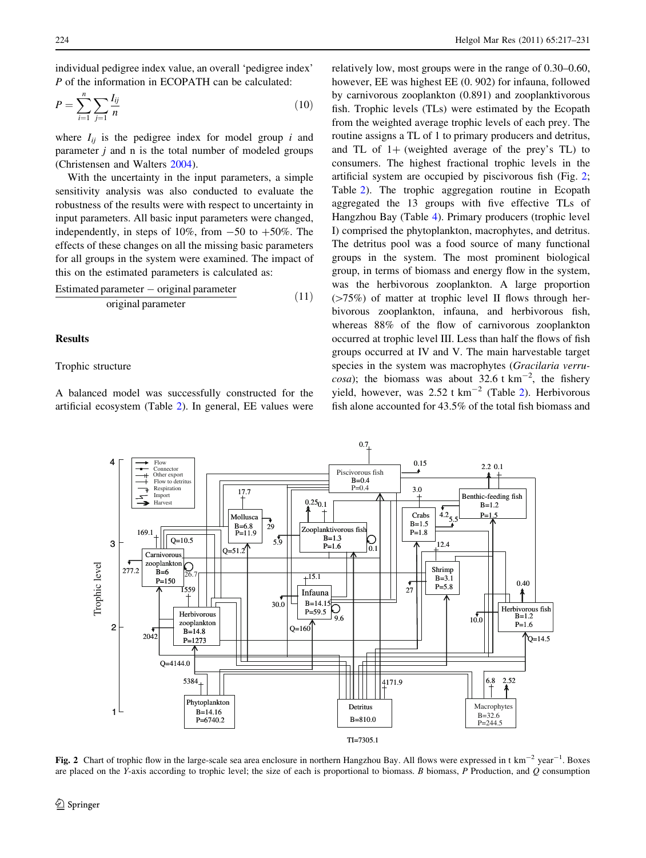<span id="page-7-0"></span>individual pedigree index value, an overall 'pedigree index' P of the information in ECOPATH can be calculated:

$$
P = \sum_{i=1}^{n} \sum_{j=1}^{n} \frac{I_{ij}}{n}
$$
 (10)

where  $I_{ij}$  is the pedigree index for model group i and parameter  $j$  and  $n$  is the total number of modeled groups (Christensen and Walters [2004](#page-13-0)).

With the uncertainty in the input parameters, a simple sensitivity analysis was also conducted to evaluate the robustness of the results were with respect to uncertainty in input parameters. All basic input parameters were changed, independently, in steps of 10%, from  $-50$  to  $+50\%$ . The effects of these changes on all the missing basic parameters for all groups in the system were examined. The impact of this on the estimated parameters is calculated as:

$$
\frac{\text{Estimated parameter} - \text{original parameter}}{\text{original parameter}} \tag{11}
$$

# Results

# Trophic structure

A balanced model was successfully constructed for the artificial ecosystem (Table [2\)](#page-4-0). In general, EE values were

relatively low, most groups were in the range of 0.30–0.60, however, EE was highest EE (0. 902) for infauna, followed by carnivorous zooplankton (0.891) and zooplanktivorous fish. Trophic levels (TLs) were estimated by the Ecopath from the weighted average trophic levels of each prey. The routine assigns a TL of 1 to primary producers and detritus, and TL of  $1+$  (weighted average of the prey's TL) to consumers. The highest fractional trophic levels in the artificial system are occupied by piscivorous fish (Fig. 2; Table [2](#page-4-0)). The trophic aggregation routine in Ecopath aggregated the 13 groups with five effective TLs of Hangzhou Bay (Table [4\)](#page-8-0). Primary producers (trophic level I) comprised the phytoplankton, macrophytes, and detritus. The detritus pool was a food source of many functional groups in the system. The most prominent biological group, in terms of biomass and energy flow in the system, was the herbivorous zooplankton. A large proportion  $(>=75%)$  of matter at trophic level II flows through herbivorous zooplankton, infauna, and herbivorous fish, whereas 88% of the flow of carnivorous zooplankton occurred at trophic level III. Less than half the flows of fish groups occurred at IV and V. The main harvestable target species in the system was macrophytes (Gracilaria verrucosa); the biomass was about 32.6 t  $km^{-2}$ , the fishery yield, however, was  $2.52$  t km<sup>-2</sup> (Table [2\)](#page-4-0). Herbivorous fish alone accounted for 43.5% of the total fish biomass and



Fig. 2 Chart of trophic flow in the large-scale sea area enclosure in northern Hangzhou Bay. All flows were expressed in t  $km^{-2}$  year<sup>-1</sup>. Boxes are placed on the Y-axis according to trophic level; the size of each is proportional to biomass. B biomass, P Production, and  $Q$  consumption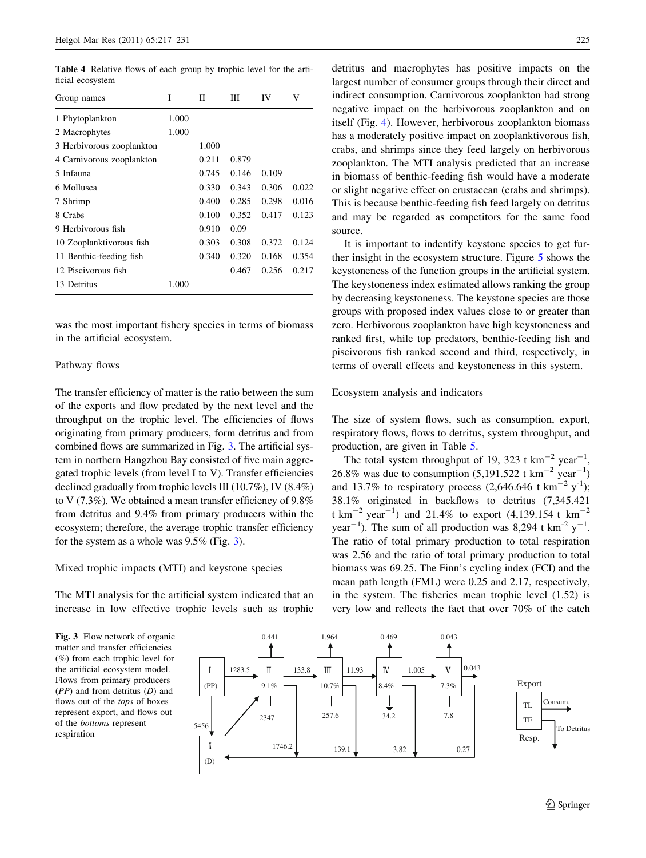<span id="page-8-0"></span>Table 4 Relative flows of each group by trophic level for the artificial ecosystem

| Group names               | T     | П     | Ш     | IV    | V     |
|---------------------------|-------|-------|-------|-------|-------|
| 1 Phytoplankton           | 1.000 |       |       |       |       |
| 2 Macrophytes             | 1.000 |       |       |       |       |
| 3 Herbivorous zooplankton |       | 1.000 |       |       |       |
| 4 Carnivorous zooplankton |       | 0.211 | 0.879 |       |       |
| 5 Infauna                 |       | 0.745 | 0.146 | 0.109 |       |
| 6 Mollusca                |       | 0.330 | 0.343 | 0.306 | 0.022 |
| 7 Shrimp                  |       | 0.400 | 0.285 | 0.298 | 0.016 |
| 8 Crabs                   |       | 0.100 | 0.352 | 0.417 | 0.123 |
| 9 Herbivorous fish        |       | 0.910 | 0.09  |       |       |
| 10 Zooplanktivorous fish  |       | 0.303 | 0.308 | 0.372 | 0.124 |
| 11 Benthic-feeding fish   |       | 0.340 | 0.320 | 0.168 | 0.354 |
| 12 Piscivorous fish       |       |       | 0.467 | 0.256 | 0.217 |
| 13 Detritus               | 1.000 |       |       |       |       |

was the most important fishery species in terms of biomass in the artificial ecosystem.

## Pathway flows

The transfer efficiency of matter is the ratio between the sum of the exports and flow predated by the next level and the throughput on the trophic level. The efficiencies of flows originating from primary producers, form detritus and from combined flows are summarized in Fig. 3. The artificial system in northern Hangzhou Bay consisted of five main aggregated trophic levels (from level I to V). Transfer efficiencies declined gradually from trophic levels III (10.7%), IV (8.4%) to V (7.3%). We obtained a mean transfer efficiency of 9.8% from detritus and 9.4% from primary producers within the ecosystem; therefore, the average trophic transfer efficiency for the system as a whole was 9.5% (Fig. 3).

#### Mixed trophic impacts (MTI) and keystone species

The MTI analysis for the artificial system indicated that an increase in low effective trophic levels such as trophic detritus and macrophytes has positive impacts on the largest number of consumer groups through their direct and indirect consumption. Carnivorous zooplankton had strong negative impact on the herbivorous zooplankton and on itself (Fig. [4\)](#page-9-0). However, herbivorous zooplankton biomass has a moderately positive impact on zooplanktivorous fish, crabs, and shrimps since they feed largely on herbivorous zooplankton. The MTI analysis predicted that an increase in biomass of benthic-feeding fish would have a moderate or slight negative effect on crustacean (crabs and shrimps). This is because benthic-feeding fish feed largely on detritus and may be regarded as competitors for the same food source.

It is important to indentify keystone species to get further insight in the ecosystem structure. Figure [5](#page-9-0) shows the keystoneness of the function groups in the artificial system. The keystoneness index estimated allows ranking the group by decreasing keystoneness. The keystone species are those groups with proposed index values close to or greater than zero. Herbivorous zooplankton have high keystoneness and ranked first, while top predators, benthic-feeding fish and piscivorous fish ranked second and third, respectively, in terms of overall effects and keystoneness in this system.

## Ecosystem analysis and indicators

The size of system flows, such as consumption, export, respiratory flows, flows to detritus, system throughput, and production, are given in Table [5.](#page-10-0)

The total system throughput of 19, 323 t  $km^{-2}$  year<sup>-1</sup>, 26.8% was due to consumption  $(5,191.522 \text{ t km}^{-2} \text{ year}^{-1})$ and 13.7% to respiratory process  $(2,646.646 \text{ t km}^{-2} \text{ y}^{-1})$ ; 38.1% originated in backflows to detritus (7,345.421 t km<sup>-2</sup> year<sup>-1</sup>) and 21.4% to export (4,139.154 t km<sup>-2</sup> year<sup>-1</sup>). The sum of all production was 8,294 t km<sup>-2</sup> y<sup>-1</sup>. The ratio of total primary production to total respiration was 2.56 and the ratio of total primary production to total biomass was 69.25. The Finn's cycling index (FCI) and the mean path length (FML) were 0.25 and 2.17, respectively, in the system. The fisheries mean trophic level (1.52) is very low and reflects the fact that over 70% of the catch

Fig. 3 Flow network of organic matter and transfer efficiencies (%) from each trophic level for the artificial ecosystem model. Flows from primary producers  $(PP)$  and from detritus  $(D)$  and flows out of the tops of boxes represent export, and flows out of the bottoms represent respiration

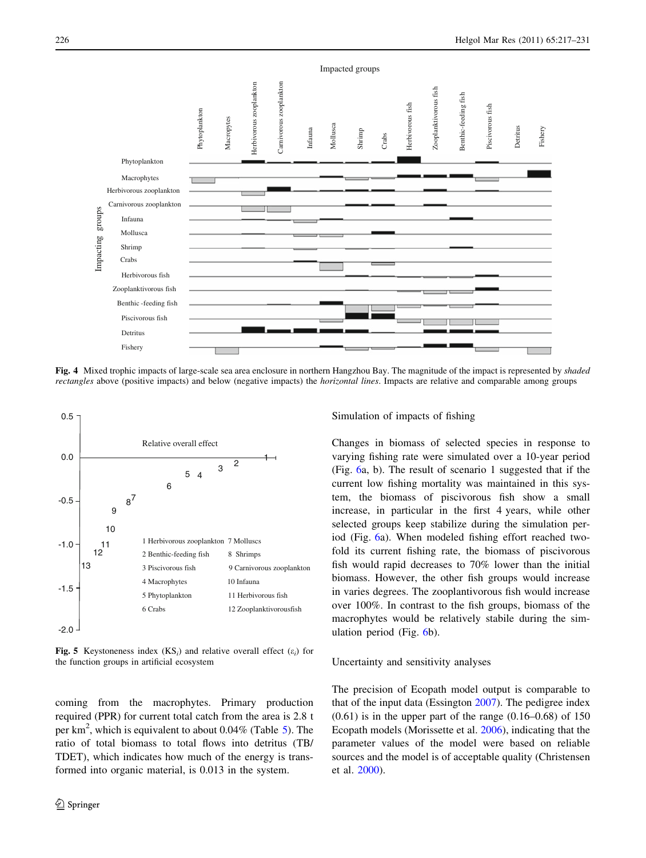<span id="page-9-0"></span>

Fig. 4 Mixed trophic impacts of large-scale sea area enclosure in northern Hangzhou Bay. The magnitude of the impact is represented by shaded rectangles above (positive impacts) and below (negative impacts) the horizontal lines. Impacts are relative and comparable among groups



Fig. 5 Keystoneness index  $(KS_i)$  and relative overall effect  $(\varepsilon_i)$  for the function groups in artificial ecosystem

coming from the macrophytes. Primary production required (PPR) for current total catch from the area is 2.8 t per  $\text{km}^2$ , which is equivalent to about 0.04% (Table [5](#page-10-0)). The ratio of total biomass to total flows into detritus (TB/ TDET), which indicates how much of the energy is transformed into organic material, is 0.013 in the system.

## Simulation of impacts of fishing

Changes in biomass of selected species in response to varying fishing rate were simulated over a 10-year period (Fig. [6a](#page-10-0), b). The result of scenario 1 suggested that if the current low fishing mortality was maintained in this system, the biomass of piscivorous fish show a small increase, in particular in the first 4 years, while other selected groups keep stabilize during the simulation period (Fig. [6a](#page-10-0)). When modeled fishing effort reached twofold its current fishing rate, the biomass of piscivorous fish would rapid decreases to 70% lower than the initial biomass. However, the other fish groups would increase in varies degrees. The zooplantivorous fish would increase over 100%. In contrast to the fish groups, biomass of the macrophytes would be relatively stabile during the simulation period (Fig. [6b](#page-10-0)).

#### Uncertainty and sensitivity analyses

The precision of Ecopath model output is comparable to that of the input data (Essington [2007\)](#page-13-0). The pedigree index  $(0.61)$  is in the upper part of the range  $(0.16-0.68)$  of 150 Ecopath models (Morissette et al. [2006](#page-13-0)), indicating that the parameter values of the model were based on reliable sources and the model is of acceptable quality (Christensen et al. [2000\)](#page-13-0).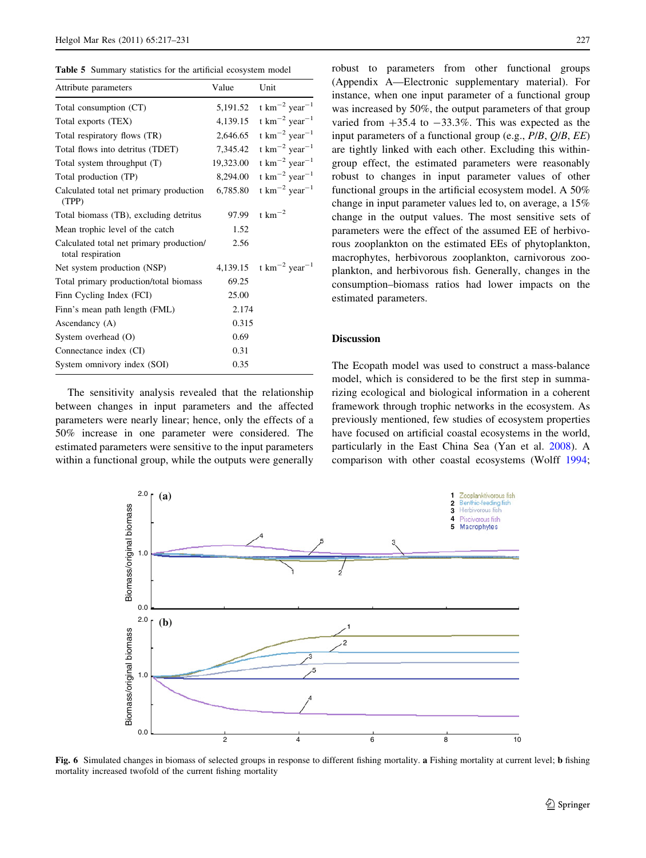<span id="page-10-0"></span>

| <b>Table 5</b> Summary statistics for the artificial ecosystem model |  |
|----------------------------------------------------------------------|--|
|----------------------------------------------------------------------|--|

| Attribute parameters                                          | Value     | Unit                                                            |
|---------------------------------------------------------------|-----------|-----------------------------------------------------------------|
| Total consumption (CT)                                        | 5,191.52  | t $km^{-2}$ year <sup>-1</sup>                                  |
| Total exports (TEX)                                           | 4,139.15  | t $km^{-2}$ year <sup>-1</sup>                                  |
| Total respiratory flows (TR)                                  | 2,646.65  | t $km^{-2}$ year <sup>-1</sup>                                  |
| Total flows into detritus (TDET)                              | 7,345.42  | t $km^{-2}$ year <sup>-1</sup>                                  |
| Total system throughput (T)                                   | 19,323.00 | t km <sup><math>-2</math></sup> year <sup><math>-1</math></sup> |
| Total production (TP)                                         | 8,294.00  | t $km^{-2}$ year <sup>-1</sup>                                  |
| Calculated total net primary production<br>(TPP)              | 6,785.80  | t $\mathrm{km}^{-2}$ year <sup>-1</sup>                         |
| Total biomass (TB), excluding detritus                        | 97.99     | t $km^{-2}$                                                     |
| Mean trophic level of the catch                               | 1.52      |                                                                 |
| Calculated total net primary production/<br>total respiration | 2.56      |                                                                 |
| Net system production (NSP)                                   |           | 4,139.15 $\text{t km}^{-2} \text{ year}^{-1}$                   |
| Total primary production/total biomass                        | 69.25     |                                                                 |
| Finn Cycling Index (FCI)                                      | 25.00     |                                                                 |
| Finn's mean path length (FML)                                 | 2.174     |                                                                 |
| Ascendancy (A)                                                | 0.315     |                                                                 |
| System overhead (O)                                           | 0.69      |                                                                 |
| Connectance index (CI)                                        | 0.31      |                                                                 |
| System omnivory index (SOI)                                   | 0.35      |                                                                 |

The sensitivity analysis revealed that the relationship between changes in input parameters and the affected parameters were nearly linear; hence, only the effects of a 50% increase in one parameter were considered. The estimated parameters were sensitive to the input parameters within a functional group, while the outputs were generally robust to parameters from other functional groups (Appendix A—Electronic supplementary material). For instance, when one input parameter of a functional group was increased by 50%, the output parameters of that group varied from  $+35.4$  to  $-33.3\%$ . This was expected as the input parameters of a functional group (e.g., P/B, Q/B, EE) are tightly linked with each other. Excluding this withingroup effect, the estimated parameters were reasonably robust to changes in input parameter values of other functional groups in the artificial ecosystem model. A 50% change in input parameter values led to, on average, a 15% change in the output values. The most sensitive sets of parameters were the effect of the assumed EE of herbivorous zooplankton on the estimated EEs of phytoplankton, macrophytes, herbivorous zooplankton, carnivorous zooplankton, and herbivorous fish. Generally, changes in the consumption–biomass ratios had lower impacts on the estimated parameters.

# Discussion

The Ecopath model was used to construct a mass-balance model, which is considered to be the first step in summarizing ecological and biological information in a coherent framework through trophic networks in the ecosystem. As previously mentioned, few studies of ecosystem properties have focused on artificial coastal ecosystems in the world, particularly in the East China Sea (Yan et al. [2008\)](#page-14-0). A comparison with other coastal ecosystems (Wolff [1994](#page-14-0);



Fig. 6 Simulated changes in biomass of selected groups in response to different fishing mortality. a Fishing mortality at current level; b fishing mortality increased twofold of the current fishing mortality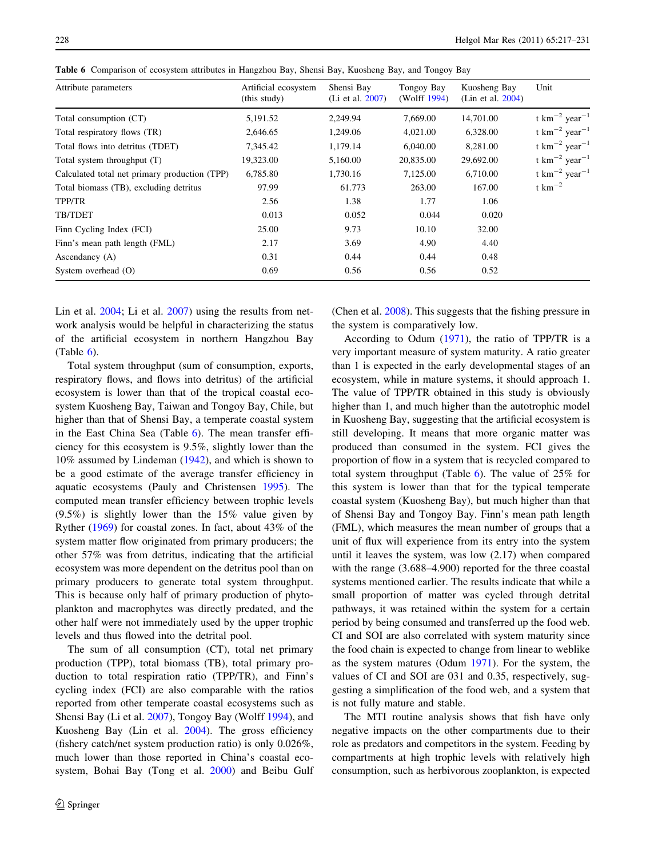| Attribute parameters                          | Artificial ecosystem<br>(this study) | Shensi Bay<br>(Li et al. 2007) | Tongoy Bay<br>(Wolff 1994) | Kuosheng Bay<br>(Lin et al. 2004) | Unit                                                            |
|-----------------------------------------------|--------------------------------------|--------------------------------|----------------------------|-----------------------------------|-----------------------------------------------------------------|
| Total consumption (CT)                        | 5,191.52                             | 2,249.94                       | 7,669.00                   | 14,701.00                         | t km <sup><math>-2</math></sup> year <sup><math>-1</math></sup> |
| Total respiratory flows (TR)                  | 2,646.65                             | 1,249.06                       | 4,021.00                   | 6,328.00                          | t $km^{-2}$ year <sup>-1</sup>                                  |
| Total flows into detritus (TDET)              | 7,345.42                             | 1,179.14                       | 6,040.00                   | 8,281.00                          | t km <sup><math>-2</math></sup> year <sup><math>-1</math></sup> |
| Total system throughput (T)                   | 19,323.00                            | 5,160.00                       | 20,835.00                  | 29,692.00                         | t km <sup><math>-2</math></sup> year <sup><math>-1</math></sup> |
| Calculated total net primary production (TPP) | 6,785.80                             | 1,730.16                       | 7,125.00                   | 6,710.00                          | t $km^{-2}$ year <sup>-1</sup>                                  |
| Total biomass (TB), excluding detritus        | 97.99                                | 61.773                         | 263.00                     | 167.00                            | t $\mathrm{km}^{-2}$                                            |
| TPP/TR                                        | 2.56                                 | 1.38                           | 1.77                       | 1.06                              |                                                                 |
| TB/TDET                                       | 0.013                                | 0.052                          | 0.044                      | 0.020                             |                                                                 |
| Finn Cycling Index (FCI)                      | 25.00                                | 9.73                           | 10.10                      | 32.00                             |                                                                 |
| Finn's mean path length (FML)                 | 2.17                                 | 3.69                           | 4.90                       | 4.40                              |                                                                 |
| Ascendancy (A)                                | 0.31                                 | 0.44                           | 0.44                       | 0.48                              |                                                                 |
| System overhead (O)                           | 0.69                                 | 0.56                           | 0.56                       | 0.52                              |                                                                 |

Table 6 Comparison of ecosystem attributes in Hangzhou Bay, Shensi Bay, Kuosheng Bay, and Tongoy Bay

Lin et al. [2004;](#page-13-0) Li et al. [2007](#page-13-0)) using the results from network analysis would be helpful in characterizing the status of the artificial ecosystem in northern Hangzhou Bay (Table  $6$ ).

Total system throughput (sum of consumption, exports, respiratory flows, and flows into detritus) of the artificial ecosystem is lower than that of the tropical coastal ecosystem Kuosheng Bay, Taiwan and Tongoy Bay, Chile, but higher than that of Shensi Bay, a temperate coastal system in the East China Sea (Table 6). The mean transfer efficiency for this ecosystem is 9.5%, slightly lower than the 10% assumed by Lindeman [\(1942](#page-13-0)), and which is shown to be a good estimate of the average transfer efficiency in aquatic ecosystems (Pauly and Christensen [1995\)](#page-13-0). The computed mean transfer efficiency between trophic levels (9.5%) is slightly lower than the 15% value given by Ryther ([1969\)](#page-13-0) for coastal zones. In fact, about 43% of the system matter flow originated from primary producers; the other 57% was from detritus, indicating that the artificial ecosystem was more dependent on the detritus pool than on primary producers to generate total system throughput. This is because only half of primary production of phytoplankton and macrophytes was directly predated, and the other half were not immediately used by the upper trophic levels and thus flowed into the detrital pool.

The sum of all consumption (CT), total net primary production (TPP), total biomass (TB), total primary production to total respiration ratio (TPP/TR), and Finn's cycling index (FCI) are also comparable with the ratios reported from other temperate coastal ecosystems such as Shensi Bay (Li et al. [2007\)](#page-13-0), Tongoy Bay (Wolff [1994](#page-14-0)), and Kuosheng Bay (Lin et al. [2004](#page-13-0)). The gross efficiency (fishery catch/net system production ratio) is only 0.026%, much lower than those reported in China's coastal ecosystem, Bohai Bay (Tong et al. [2000\)](#page-14-0) and Beibu Gulf (Chen et al. [2008\)](#page-13-0). This suggests that the fishing pressure in the system is comparatively low.

According to Odum [\(1971](#page-13-0)), the ratio of TPP/TR is a very important measure of system maturity. A ratio greater than 1 is expected in the early developmental stages of an ecosystem, while in mature systems, it should approach 1. The value of TPP/TR obtained in this study is obviously higher than 1, and much higher than the autotrophic model in Kuosheng Bay, suggesting that the artificial ecosystem is still developing. It means that more organic matter was produced than consumed in the system. FCI gives the proportion of flow in a system that is recycled compared to total system throughput (Table 6). The value of 25% for this system is lower than that for the typical temperate coastal system (Kuosheng Bay), but much higher than that of Shensi Bay and Tongoy Bay. Finn's mean path length (FML), which measures the mean number of groups that a unit of flux will experience from its entry into the system until it leaves the system, was low (2.17) when compared with the range  $(3.688-4.900)$  reported for the three coastal systems mentioned earlier. The results indicate that while a small proportion of matter was cycled through detrital pathways, it was retained within the system for a certain period by being consumed and transferred up the food web. CI and SOI are also correlated with system maturity since the food chain is expected to change from linear to weblike as the system matures (Odum [1971](#page-13-0)). For the system, the values of CI and SOI are 031 and 0.35, respectively, suggesting a simplification of the food web, and a system that is not fully mature and stable.

The MTI routine analysis shows that fish have only negative impacts on the other compartments due to their role as predators and competitors in the system. Feeding by compartments at high trophic levels with relatively high consumption, such as herbivorous zooplankton, is expected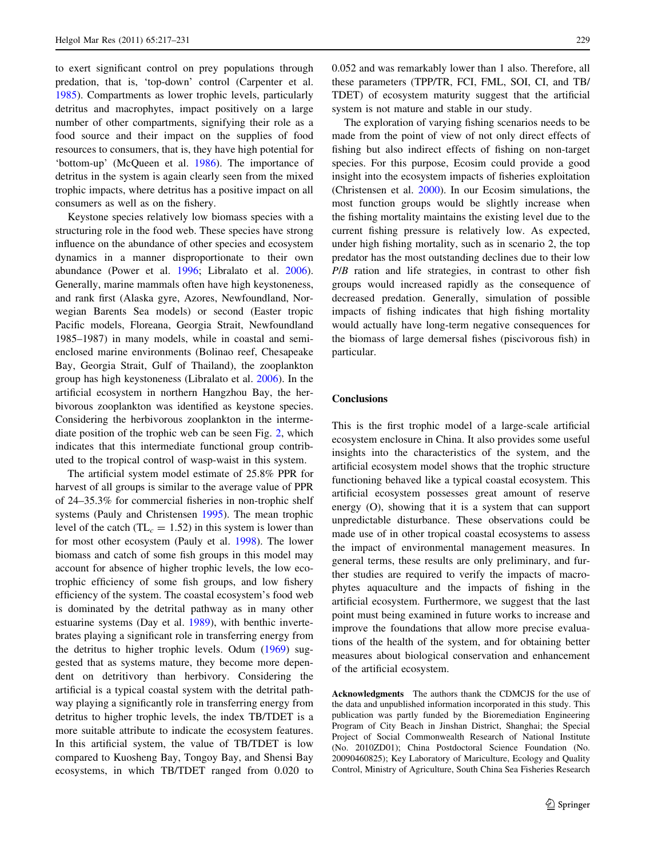to exert significant control on prey populations through predation, that is, 'top-down' control (Carpenter et al. [1985\)](#page-13-0). Compartments as lower trophic levels, particularly detritus and macrophytes, impact positively on a large number of other compartments, signifying their role as a food source and their impact on the supplies of food resources to consumers, that is, they have high potential for 'bottom-up' (McQueen et al. [1986](#page-13-0)). The importance of detritus in the system is again clearly seen from the mixed trophic impacts, where detritus has a positive impact on all consumers as well as on the fishery.

Keystone species relatively low biomass species with a structuring role in the food web. These species have strong influence on the abundance of other species and ecosystem dynamics in a manner disproportionate to their own abundance (Power et al. [1996](#page-13-0); Libralato et al. [2006](#page-13-0)). Generally, marine mammals often have high keystoneness, and rank first (Alaska gyre, Azores, Newfoundland, Norwegian Barents Sea models) or second (Easter tropic Pacific models, Floreana, Georgia Strait, Newfoundland 1985–1987) in many models, while in coastal and semienclosed marine environments (Bolinao reef, Chesapeake Bay, Georgia Strait, Gulf of Thailand), the zooplankton group has high keystoneness (Libralato et al. [2006\)](#page-13-0). In the artificial ecosystem in northern Hangzhou Bay, the herbivorous zooplankton was identified as keystone species. Considering the herbivorous zooplankton in the intermediate position of the trophic web can be seen Fig. [2](#page-7-0), which indicates that this intermediate functional group contributed to the tropical control of wasp-waist in this system.

The artificial system model estimate of 25.8% PPR for harvest of all groups is similar to the average value of PPR of 24–35.3% for commercial fisheries in non-trophic shelf systems (Pauly and Christensen [1995\)](#page-13-0). The mean trophic level of the catch ( $TL_c = 1.52$ ) in this system is lower than for most other ecosystem (Pauly et al. [1998\)](#page-13-0). The lower biomass and catch of some fish groups in this model may account for absence of higher trophic levels, the low ecotrophic efficiency of some fish groups, and low fishery efficiency of the system. The coastal ecosystem's food web is dominated by the detrital pathway as in many other estuarine systems (Day et al. [1989\)](#page-13-0), with benthic invertebrates playing a significant role in transferring energy from the detritus to higher trophic levels. Odum ([1969\)](#page-13-0) suggested that as systems mature, they become more dependent on detritivory than herbivory. Considering the artificial is a typical coastal system with the detrital pathway playing a significantly role in transferring energy from detritus to higher trophic levels, the index TB/TDET is a more suitable attribute to indicate the ecosystem features. In this artificial system, the value of TB/TDET is low compared to Kuosheng Bay, Tongoy Bay, and Shensi Bay ecosystems, in which TB/TDET ranged from 0.020 to 0.052 and was remarkably lower than 1 also. Therefore, all these parameters (TPP/TR, FCI, FML, SOI, CI, and TB/ TDET) of ecosystem maturity suggest that the artificial system is not mature and stable in our study.

The exploration of varying fishing scenarios needs to be made from the point of view of not only direct effects of fishing but also indirect effects of fishing on non-target species. For this purpose, Ecosim could provide a good insight into the ecosystem impacts of fisheries exploitation (Christensen et al. [2000\)](#page-13-0). In our Ecosim simulations, the most function groups would be slightly increase when the fishing mortality maintains the existing level due to the current fishing pressure is relatively low. As expected, under high fishing mortality, such as in scenario 2, the top predator has the most outstanding declines due to their low P/B ration and life strategies, in contrast to other fish groups would increased rapidly as the consequence of decreased predation. Generally, simulation of possible impacts of fishing indicates that high fishing mortality would actually have long-term negative consequences for the biomass of large demersal fishes (piscivorous fish) in particular.

# **Conclusions**

This is the first trophic model of a large-scale artificial ecosystem enclosure in China. It also provides some useful insights into the characteristics of the system, and the artificial ecosystem model shows that the trophic structure functioning behaved like a typical coastal ecosystem. This artificial ecosystem possesses great amount of reserve energy (O), showing that it is a system that can support unpredictable disturbance. These observations could be made use of in other tropical coastal ecosystems to assess the impact of environmental management measures. In general terms, these results are only preliminary, and further studies are required to verify the impacts of macrophytes aquaculture and the impacts of fishing in the artificial ecosystem. Furthermore, we suggest that the last point must being examined in future works to increase and improve the foundations that allow more precise evaluations of the health of the system, and for obtaining better measures about biological conservation and enhancement of the artificial ecosystem.

Acknowledgments The authors thank the CDMCJS for the use of the data and unpublished information incorporated in this study. This publication was partly funded by the Bioremediation Engineering Program of City Beach in Jinshan District, Shanghai; the Special Project of Social Commonwealth Research of National Institute (No. 2010ZD01); China Postdoctoral Science Foundation (No. 20090460825); Key Laboratory of Mariculture, Ecology and Quality Control, Ministry of Agriculture, South China Sea Fisheries Research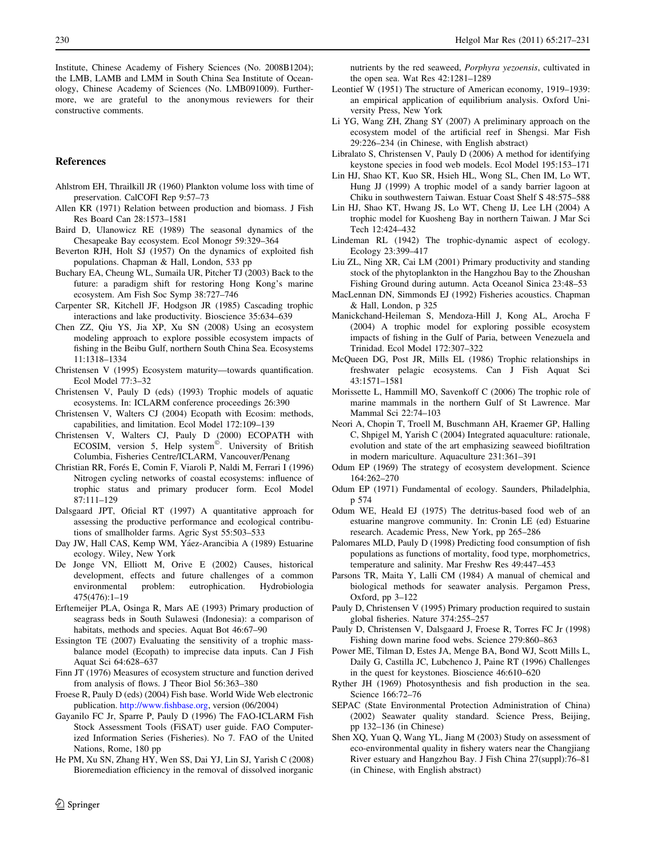<span id="page-13-0"></span>Institute, Chinese Academy of Fishery Sciences (No. 2008B1204); the LMB, LAMB and LMM in South China Sea Institute of Oceanology, Chinese Academy of Sciences (No. LMB091009). Furthermore, we are grateful to the anonymous reviewers for their constructive comments.

## References

- Ahlstrom EH, Thrailkill JR (1960) Plankton volume loss with time of preservation. CalCOFI Rep 9:57–73
- Allen KR (1971) Relation between production and biomass. J Fish Res Board Can 28:1573–1581
- Baird D, Ulanowicz RE (1989) The seasonal dynamics of the Chesapeake Bay ecosystem. Ecol Monogr 59:329–364
- Beverton RJH, Holt SJ (1957) On the dynamics of exploited fish populations. Chapman & Hall, London, 533 pp
- Buchary EA, Cheung WL, Sumaila UR, Pitcher TJ (2003) Back to the future: a paradigm shift for restoring Hong Kong's marine ecosystem. Am Fish Soc Symp 38:727–746
- Carpenter SR, Kitchell JF, Hodgson JR (1985) Cascading trophic interactions and lake productivity. Bioscience 35:634–639
- Chen ZZ, Qiu YS, Jia XP, Xu SN (2008) Using an ecosystem modeling approach to explore possible ecosystem impacts of fishing in the Beibu Gulf, northern South China Sea. Ecosystems 11:1318–1334
- Christensen V (1995) Ecosystem maturity—towards quantification. Ecol Model 77:3–32
- Christensen V, Pauly D (eds) (1993) Trophic models of aquatic ecosystems. In: ICLARM conference proceedings 26:390
- Christensen V, Walters CJ (2004) Ecopath with Ecosim: methods, capabilities, and limitation. Ecol Model 172:109–139
- Christensen V, Walters CJ, Pauly D (2000) ECOPATH with ECOSIM, version 5, Help system<sup>©</sup>. University of British Columbia, Fisheries Centre/ICLARM, Vancouver/Penang
- Christian RR, Forés E, Comin F, Viaroli P, Naldi M, Ferrari I (1996) Nitrogen cycling networks of coastal ecosystems: influence of trophic status and primary producer form. Ecol Model 87:111–129
- Dalsgaard JPT, Oficial RT (1997) A quantitative approach for assessing the productive performance and ecological contributions of smallholder farms. Agric Syst 55:503–533
- Day JW, Hall CAS, Kemp WM, Yáez-Arancibia A (1989) Estuarine ecology. Wiley, New York
- De Jonge VN, Elliott M, Orive E (2002) Causes, historical development, effects and future challenges of a common environmental problem: eutrophication. Hydrobiologia 475(476):1–19
- Erftemeijer PLA, Osinga R, Mars AE (1993) Primary production of seagrass beds in South Sulawesi (Indonesia): a comparison of habitats, methods and species. Aquat Bot 46:67–90
- Essington TE (2007) Evaluating the sensitivity of a trophic massbalance model (Ecopath) to imprecise data inputs. Can J Fish Aquat Sci 64:628–637
- Finn JT (1976) Measures of ecosystem structure and function derived from analysis of flows. J Theor Biol 56:363–380
- Froese R, Pauly D (eds) (2004) Fish base. World Wide Web electronic publication. [http://www.fishbase.org,](http://www.fishbase.org) version (06/2004)
- Gayanilo FC Jr, Sparre P, Pauly D (1996) The FAO-ICLARM Fish Stock Assessment Tools (FiSAT) user guide. FAO Computerized Information Series (Fisheries). No 7. FAO of the United Nations, Rome, 180 pp
- He PM, Xu SN, Zhang HY, Wen SS, Dai YJ, Lin SJ, Yarish C (2008) Bioremediation efficiency in the removal of dissolved inorganic

nutrients by the red seaweed, Porphyra yezoensis, cultivated in the open sea. Wat Res 42:1281–1289

- Leontief W (1951) The structure of American economy, 1919–1939: an empirical application of equilibrium analysis. Oxford University Press, New York
- Li YG, Wang ZH, Zhang SY (2007) A preliminary approach on the ecosystem model of the artificial reef in Shengsi. Mar Fish 29:226–234 (in Chinese, with English abstract)
- Libralato S, Christensen V, Pauly D (2006) A method for identifying keystone species in food web models. Ecol Model 195:153–171
- Lin HJ, Shao KT, Kuo SR, Hsieh HL, Wong SL, Chen IM, Lo WT, Hung JJ (1999) A trophic model of a sandy barrier lagoon at Chiku in southwestern Taiwan. Estuar Coast Shelf S 48:575–588
- Lin HJ, Shao KT, Hwang JS, Lo WT, Cheng IJ, Lee LH (2004) A trophic model for Kuosheng Bay in northern Taiwan. J Mar Sci Tech 12:424–432
- Lindeman RL (1942) The trophic-dynamic aspect of ecology. Ecology 23:399–417
- Liu ZL, Ning XR, Cai LM (2001) Primary productivity and standing stock of the phytoplankton in the Hangzhou Bay to the Zhoushan Fishing Ground during autumn. Acta Oceanol Sinica 23:48–53
- MacLennan DN, Simmonds EJ (1992) Fisheries acoustics. Chapman & Hall, London, p 325
- Manickchand-Heileman S, Mendoza-Hill J, Kong AL, Arocha F (2004) A trophic model for exploring possible ecosystem impacts of fishing in the Gulf of Paria, between Venezuela and Trinidad. Ecol Model 172:307–322
- McQueen DG, Post JR, Mills EL (1986) Trophic relationships in freshwater pelagic ecosystems. Can J Fish Aquat Sci 43:1571–1581
- Morissette L, Hammill MO, Savenkoff C (2006) The trophic role of marine mammals in the northern Gulf of St Lawrence. Mar Mammal Sci 22:74–103
- Neori A, Chopin T, Troell M, Buschmann AH, Kraemer GP, Halling C, Shpigel M, Yarish C (2004) Integrated aquaculture: rationale, evolution and state of the art emphasizing seaweed biofiltration in modern mariculture. Aquaculture 231:361–391
- Odum EP (1969) The strategy of ecosystem development. Science 164:262–270
- Odum EP (1971) Fundamental of ecology. Saunders, Philadelphia, p 574
- Odum WE, Heald EJ (1975) The detritus-based food web of an estuarine mangrove community. In: Cronin LE (ed) Estuarine research. Academic Press, New York, pp 265–286
- Palomares MLD, Pauly D (1998) Predicting food consumption of fish populations as functions of mortality, food type, morphometrics, temperature and salinity. Mar Freshw Res 49:447–453
- Parsons TR, Maita Y, Lalli CM (1984) A manual of chemical and biological methods for seawater analysis. Pergamon Press, Oxford, pp 3–122
- Pauly D, Christensen V (1995) Primary production required to sustain global fisheries. Nature 374:255–257
- Pauly D, Christensen V, Dalsgaard J, Froese R, Torres FC Jr (1998) Fishing down marine food webs. Science 279:860–863
- Power ME, Tilman D, Estes JA, Menge BA, Bond WJ, Scott Mills L, Daily G, Castilla JC, Lubchenco J, Paine RT (1996) Challenges in the quest for keystones. Bioscience 46:610–620
- Ryther JH (1969) Photosynthesis and fish production in the sea. Science 166:72–76
- SEPAC (State Environmental Protection Administration of China) (2002) Seawater quality standard. Science Press, Beijing, pp 132–136 (in Chinese)
- Shen XQ, Yuan Q, Wang YL, Jiang M (2003) Study on assessment of eco-environmental quality in fishery waters near the Changjiang River estuary and Hangzhou Bay. J Fish China 27(suppl):76–81 (in Chinese, with English abstract)